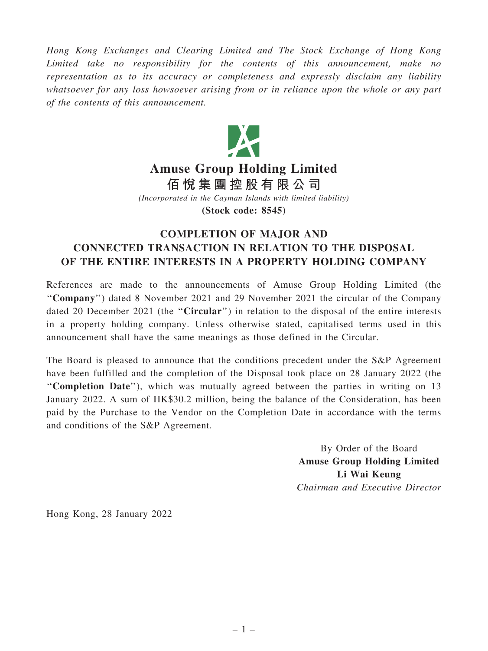Hong Kong Exchanges and Clearing Limited and The Stock Exchange of Hong Kong Limited take no responsibility for the contents of this announcement, make no representation as to its accuracy or completeness and expressly disclaim any liability whatsoever for any loss howsoever arising from or in reliance upon the whole or any part of the contents of this announcement.



## Amuse Group Holding Limited

佰 悅 集 團 控 股 有 限 公 司

(Incorporated in the Cayman Islands with limited liability)

(Stock code: 8545)

## COMPLETION OF MAJOR AND CONNECTED TRANSACTION IN RELATION TO THE DISPOSAL OF THE ENTIRE INTERESTS IN A PROPERTY HOLDING COMPANY

References are made to the announcements of Amuse Group Holding Limited (the ''Company'') dated 8 November 2021 and 29 November 2021 the circular of the Company dated 20 December 2021 (the "Circular") in relation to the disposal of the entire interests in a property holding company. Unless otherwise stated, capitalised terms used in this announcement shall have the same meanings as those defined in the Circular.

The Board is pleased to announce that the conditions precedent under the S&P Agreement have been fulfilled and the completion of the Disposal took place on 28 January 2022 (the ''Completion Date''), which was mutually agreed between the parties in writing on 13 January 2022. A sum of HK\$30.2 million, being the balance of the Consideration, has been paid by the Purchase to the Vendor on the Completion Date in accordance with the terms and conditions of the S&P Agreement.

> By Order of the Board Amuse Group Holding Limited Li Wai Keung Chairman and Executive Director

Hong Kong, 28 January 2022